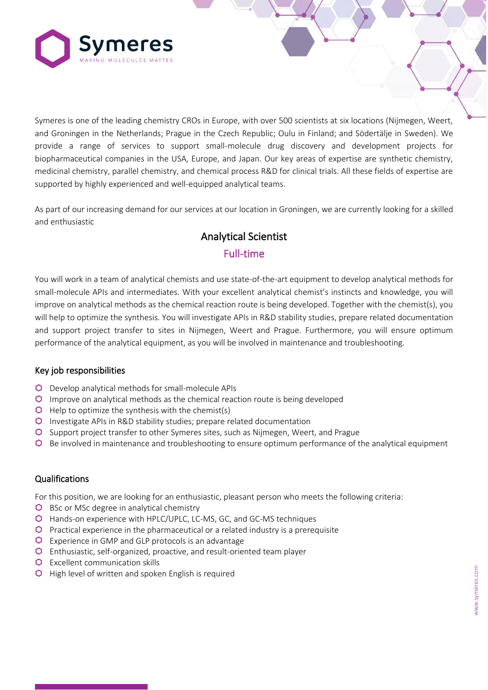

Symeres is one of the leading chemistry CROs in Europe, with over 500 scientists at six locations (Nijmegen, Weert, and Groningen in the Netherlands; Prague in the Czech Republic; Oulu in Finland; and Södertälje in Sweden). We provide a range of services to support small-molecule drug discovery and development projects for biopharmaceutical companies in the USA, Europe, and Japan. Our key areas of expertise are synthetic chemistry, medicinal chemistry, parallel chemistry, and chemical process R&D for clinical trials. All these fields of expertise are supported by highly experienced and well-equipped analytical teams.

As part of our increasing demand for our services at our location in Groningen, we are currently looking for a skilled and enthusiastic

# Analytical Scientist Full-time

You will work in a team of analytical chemists and use state-of-the-art equipment to develop analytical methods for small-molecule APIs and intermediates. With your excellent analytical chemist's instincts and knowledge, you will improve on analytical methods as the chemical reaction route is being developed. Together with the chemist(s), you will help to optimize the synthesis. You will investigate APIs in R&D stability studies, prepare related documentation and support project transfer to sites in Nijmegen, Weert and Prague. Furthermore, you will ensure optimum performance of the analytical equipment, as you will be involved in maintenance and troubleshooting.

#### Key job responsibilities

- Develop analytical methods for small-molecule APIs
- Improve on analytical methods as the chemical reaction route is being developed
- $\Theta$  Help to optimize the synthesis with the chemist(s)
- Investigate APIs in R&D stability studies; prepare related documentation
- Support project transfer to other Symeres sites, such as Nijmegen, Weert, and Prague
- Be involved in maintenance and troubleshooting to ensure optimum performance of the analytical equipment

#### **Qualifications**

For this position, we are looking for an enthusiastic, pleasant person who meets the following criteria:

- $\bigcirc$  BSc or MSc degree in analytical chemistry
- Hands-on experience with HPLC/UPLC, LC-MS, GC, and GC-MS techniques
- $\bullet$  Practical experience in the pharmaceutical or a related industry is a prerequisite
- Experience in GMP and GLP protocols is an advantage
- Enthusiastic, self-organized, proactive, and result-oriented team player
- **Q** Excellent communication skills
- **O** High level of written and spoken English is required

C O N F I D E N